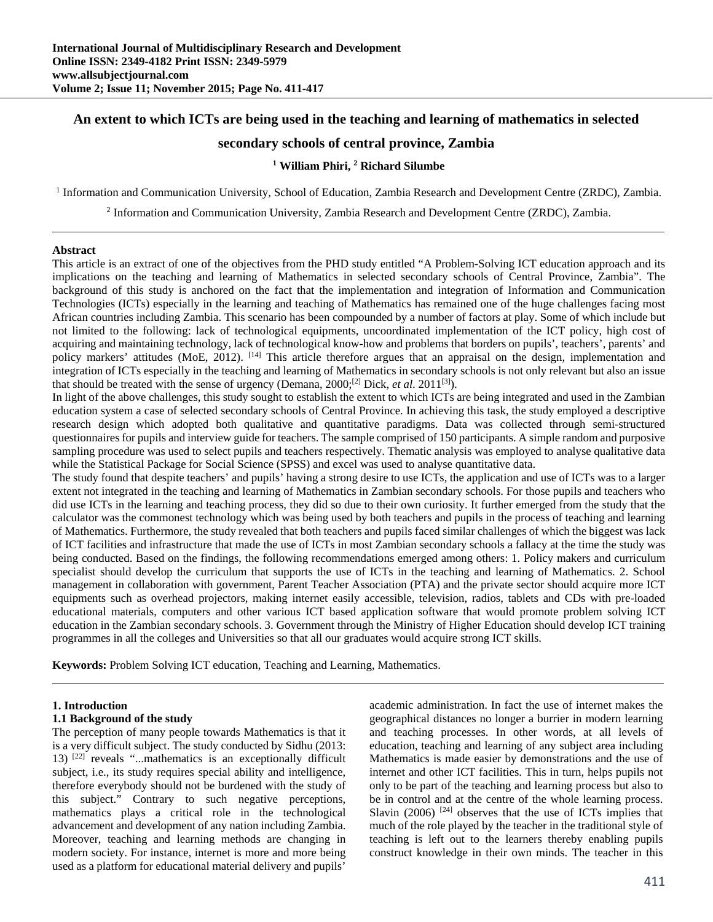# **An extent to which ICTs are being used in the teaching and learning of mathematics in selected**

# **secondary schools of central province, Zambia**

### **1 William Phiri, 2 Richard Silumbe**

<sup>1</sup> Information and Communication University, School of Education, Zambia Research and Development Centre (ZRDC), Zambia.

<sup>2</sup> Information and Communication University, Zambia Research and Development Centre (ZRDC), Zambia.

#### **Abstract**

This article is an extract of one of the objectives from the PHD study entitled "A Problem-Solving ICT education approach and its implications on the teaching and learning of Mathematics in selected secondary schools of Central Province, Zambia". The background of this study is anchored on the fact that the implementation and integration of Information and Communication Technologies (ICTs) especially in the learning and teaching of Mathematics has remained one of the huge challenges facing most African countries including Zambia. This scenario has been compounded by a number of factors at play. Some of which include but not limited to the following: lack of technological equipments, uncoordinated implementation of the ICT policy, high cost of acquiring and maintaining technology, lack of technological know-how and problems that borders on pupils', teachers', parents' and policy markers' attitudes (MoE, 2012). <sup>[14]</sup> This article therefore argues that an appraisal on the design, implementation and integration of ICTs especially in the teaching and learning of Mathematics in secondary schools is not only relevant but also an issue that should be treated with the sense of urgency (Demana, 2000;[2] Dick, *et al*. 2011[3]).

In light of the above challenges, this study sought to establish the extent to which ICTs are being integrated and used in the Zambian education system a case of selected secondary schools of Central Province. In achieving this task, the study employed a descriptive research design which adopted both qualitative and quantitative paradigms. Data was collected through semi-structured questionnaires for pupils and interview guide for teachers. The sample comprised of 150 participants. A simple random and purposive sampling procedure was used to select pupils and teachers respectively. Thematic analysis was employed to analyse qualitative data while the Statistical Package for Social Science (SPSS) and excel was used to analyse quantitative data.

The study found that despite teachers' and pupils' having a strong desire to use ICTs, the application and use of ICTs was to a larger extent not integrated in the teaching and learning of Mathematics in Zambian secondary schools. For those pupils and teachers who did use ICTs in the learning and teaching process, they did so due to their own curiosity. It further emerged from the study that the calculator was the commonest technology which was being used by both teachers and pupils in the process of teaching and learning of Mathematics. Furthermore, the study revealed that both teachers and pupils faced similar challenges of which the biggest was lack of ICT facilities and infrastructure that made the use of ICTs in most Zambian secondary schools a fallacy at the time the study was being conducted. Based on the findings, the following recommendations emerged among others: 1. Policy makers and curriculum specialist should develop the curriculum that supports the use of ICTs in the teaching and learning of Mathematics. 2. School management in collaboration with government, Parent Teacher Association (PTA) and the private sector should acquire more ICT equipments such as overhead projectors, making internet easily accessible, television, radios, tablets and CDs with pre-loaded educational materials, computers and other various ICT based application software that would promote problem solving ICT education in the Zambian secondary schools. 3. Government through the Ministry of Higher Education should develop ICT training programmes in all the colleges and Universities so that all our graduates would acquire strong ICT skills.

**Keywords:** Problem Solving ICT education, Teaching and Learning, Mathematics.

#### **1. Introduction**

#### **1.1 Background of the study**

The perception of many people towards Mathematics is that it is a very difficult subject. The study conducted by Sidhu (2013: 13)  $[22]$  reveals "...mathematics is an exceptionally difficult subject, i.e., its study requires special ability and intelligence, therefore everybody should not be burdened with the study of this subject." Contrary to such negative perceptions, mathematics plays a critical role in the technological advancement and development of any nation including Zambia. Moreover, teaching and learning methods are changing in modern society. For instance, internet is more and more being used as a platform for educational material delivery and pupils'

academic administration. In fact the use of internet makes the geographical distances no longer a burrier in modern learning and teaching processes. In other words, at all levels of education, teaching and learning of any subject area including Mathematics is made easier by demonstrations and the use of internet and other ICT facilities. This in turn, helps pupils not only to be part of the teaching and learning process but also to be in control and at the centre of the whole learning process. Slavin (2006)  $[24]$  observes that the use of ICTs implies that much of the role played by the teacher in the traditional style of teaching is left out to the learners thereby enabling pupils construct knowledge in their own minds. The teacher in this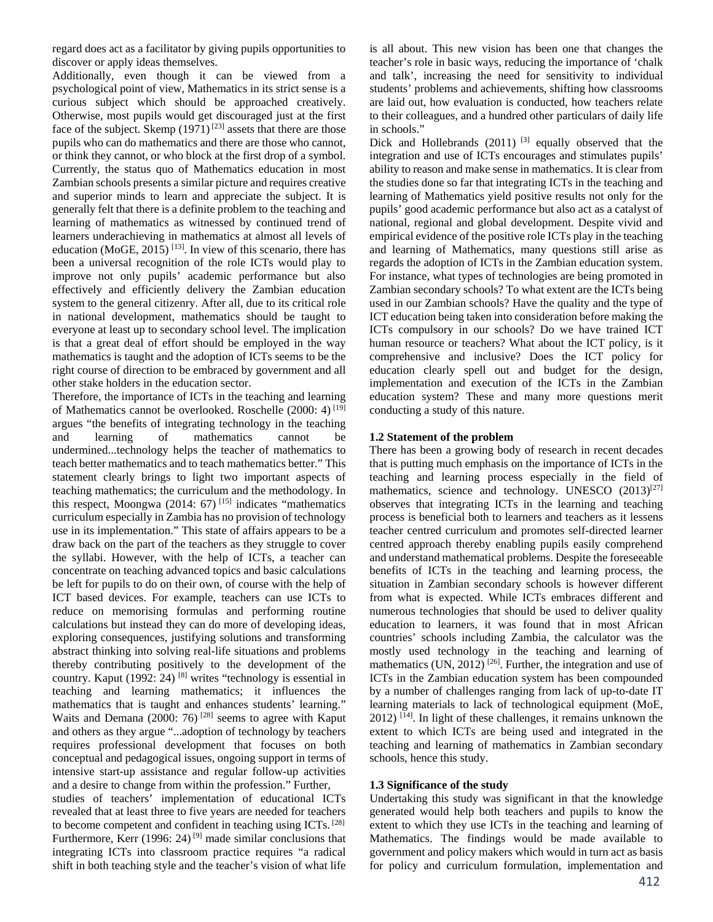regard does act as a facilitator by giving pupils opportunities to discover or apply ideas themselves.

Additionally, even though it can be viewed from a psychological point of view, Mathematics in its strict sense is a curious subject which should be approached creatively. Otherwise, most pupils would get discouraged just at the first face of the subject. Skemp  $(1971)^{[23]}$  assets that there are those pupils who can do mathematics and there are those who cannot, or think they cannot, or who block at the first drop of a symbol. Currently, the status quo of Mathematics education in most Zambian schools presents a similar picture and requires creative and superior minds to learn and appreciate the subject. It is generally felt that there is a definite problem to the teaching and learning of mathematics as witnessed by continued trend of learners underachieving in mathematics at almost all levels of education (MoGE, 2015)<sup>[13]</sup>. In view of this scenario, there has been a universal recognition of the role ICTs would play to improve not only pupils' academic performance but also effectively and efficiently delivery the Zambian education system to the general citizenry. After all, due to its critical role in national development, mathematics should be taught to everyone at least up to secondary school level. The implication is that a great deal of effort should be employed in the way mathematics is taught and the adoption of ICTs seems to be the right course of direction to be embraced by government and all other stake holders in the education sector.

Therefore, the importance of ICTs in the teaching and learning of Mathematics cannot be overlooked. Roschelle (2000: 4)<sup>[19]</sup> argues "the benefits of integrating technology in the teaching and learning of mathematics cannot be undermined...technology helps the teacher of mathematics to teach better mathematics and to teach mathematics better." This statement clearly brings to light two important aspects of teaching mathematics; the curriculum and the methodology. In this respect, Moongwa (2014: 67) [15] indicates "mathematics curriculum especially in Zambia has no provision of technology use in its implementation." This state of affairs appears to be a draw back on the part of the teachers as they struggle to cover the syllabi. However, with the help of ICTs, a teacher can concentrate on teaching advanced topics and basic calculations be left for pupils to do on their own, of course with the help of ICT based devices. For example, teachers can use ICTs to reduce on memorising formulas and performing routine calculations but instead they can do more of developing ideas, exploring consequences, justifying solutions and transforming abstract thinking into solving real-life situations and problems thereby contributing positively to the development of the country. Kaput (1992: 24)<sup>[8]</sup> writes "technology is essential in teaching and learning mathematics; it influences the mathematics that is taught and enhances students' learning." Waits and Demana (2000: 76)<sup>[28]</sup> seems to agree with Kaput and others as they argue "...adoption of technology by teachers requires professional development that focuses on both conceptual and pedagogical issues, ongoing support in terms of intensive start-up assistance and regular follow-up activities and a desire to change from within the profession." Further,

studies of teachers' implementation of educational ICTs revealed that at least three to five years are needed for teachers to become competent and confident in teaching using ICTs. [28] Furthermore, Kerr (1996: 24)<sup>[9]</sup> made similar conclusions that integrating ICTs into classroom practice requires "a radical shift in both teaching style and the teacher's vision of what life is all about. This new vision has been one that changes the teacher's role in basic ways, reducing the importance of 'chalk and talk', increasing the need for sensitivity to individual students' problems and achievements, shifting how classrooms are laid out, how evaluation is conducted, how teachers relate to their colleagues, and a hundred other particulars of daily life in schools."

Dick and Hollebrands  $(2011)$ <sup>[3]</sup> equally observed that the integration and use of ICTs encourages and stimulates pupils' ability to reason and make sense in mathematics. It is clear from the studies done so far that integrating ICTs in the teaching and learning of Mathematics yield positive results not only for the pupils' good academic performance but also act as a catalyst of national, regional and global development. Despite vivid and empirical evidence of the positive role ICTs play in the teaching and learning of Mathematics, many questions still arise as regards the adoption of ICTs in the Zambian education system. For instance, what types of technologies are being promoted in Zambian secondary schools? To what extent are the ICTs being used in our Zambian schools? Have the quality and the type of ICT education being taken into consideration before making the ICTs compulsory in our schools? Do we have trained ICT human resource or teachers? What about the ICT policy, is it comprehensive and inclusive? Does the ICT policy for education clearly spell out and budget for the design, implementation and execution of the ICTs in the Zambian education system? These and many more questions merit conducting a study of this nature.

#### **1.2 Statement of the problem**

There has been a growing body of research in recent decades that is putting much emphasis on the importance of ICTs in the teaching and learning process especially in the field of mathematics, science and technology. UNESCO  $(2013)^{[27]}$ observes that integrating ICTs in the learning and teaching process is beneficial both to learners and teachers as it lessens teacher centred curriculum and promotes self-directed learner centred approach thereby enabling pupils easily comprehend and understand mathematical problems. Despite the foreseeable benefits of ICTs in the teaching and learning process, the situation in Zambian secondary schools is however different from what is expected. While ICTs embraces different and numerous technologies that should be used to deliver quality education to learners, it was found that in most African countries' schools including Zambia, the calculator was the mostly used technology in the teaching and learning of mathematics (UN, 2012)<sup>[26]</sup>. Further, the integration and use of ICTs in the Zambian education system has been compounded by a number of challenges ranging from lack of up-to-date IT learning materials to lack of technological equipment (MoE,  $2012$ ) <sup>[14]</sup>. In light of these challenges, it remains unknown the extent to which ICTs are being used and integrated in the teaching and learning of mathematics in Zambian secondary schools, hence this study.

#### **1.3 Significance of the study**

Undertaking this study was significant in that the knowledge generated would help both teachers and pupils to know the extent to which they use ICTs in the teaching and learning of Mathematics. The findings would be made available to government and policy makers which would in turn act as basis for policy and curriculum formulation, implementation and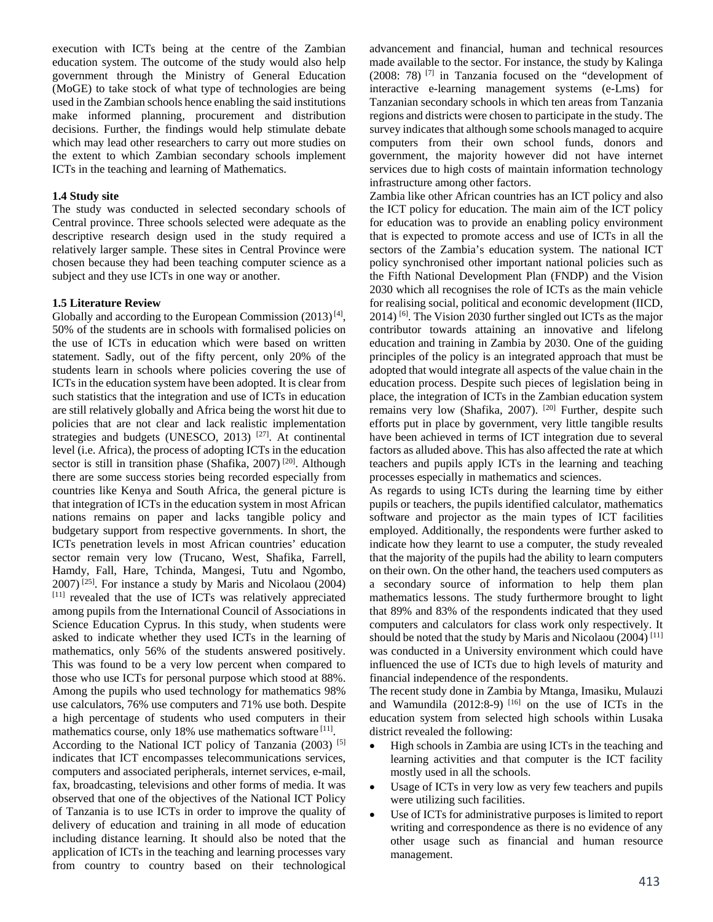execution with ICTs being at the centre of the Zambian education system. The outcome of the study would also help government through the Ministry of General Education (MoGE) to take stock of what type of technologies are being used in the Zambian schools hence enabling the said institutions make informed planning, procurement and distribution decisions. Further, the findings would help stimulate debate which may lead other researchers to carry out more studies on the extent to which Zambian secondary schools implement ICTs in the teaching and learning of Mathematics.

#### **1.4 Study site**

The study was conducted in selected secondary schools of Central province. Three schools selected were adequate as the descriptive research design used in the study required a relatively larger sample. These sites in Central Province were chosen because they had been teaching computer science as a subject and they use ICTs in one way or another.

#### **1.5 Literature Review**

Globally and according to the European Commission  $(2013)^{[4]}$ , 50% of the students are in schools with formalised policies on the use of ICTs in education which were based on written statement. Sadly, out of the fifty percent, only 20% of the students learn in schools where policies covering the use of ICTs in the education system have been adopted. It is clear from such statistics that the integration and use of ICTs in education are still relatively globally and Africa being the worst hit due to policies that are not clear and lack realistic implementation strategies and budgets (UNESCO, 2013)  $[27]$ . At continental level (i.e. Africa), the process of adopting ICTs in the education sector is still in transition phase (Shafika, 2007)<sup>[20]</sup>. Although there are some success stories being recorded especially from countries like Kenya and South Africa, the general picture is that integration of ICTs in the education system in most African nations remains on paper and lacks tangible policy and budgetary support from respective governments. In short, the ICTs penetration levels in most African countries' education sector remain very low (Trucano, West, Shafika, Farrell, Hamdy, Fall, Hare, Tchinda, Mangesi, Tutu and Ngombo,  $2007$ ) <sup>[25]</sup>. For instance a study by Maris and Nicolaou (2004) [11] revealed that the use of ICTs was relatively appreciated among pupils from the International Council of Associations in Science Education Cyprus. In this study, when students were asked to indicate whether they used ICTs in the learning of mathematics, only 56% of the students answered positively. This was found to be a very low percent when compared to those who use ICTs for personal purpose which stood at 88%. Among the pupils who used technology for mathematics 98% use calculators, 76% use computers and 71% use both. Despite a high percentage of students who used computers in their mathematics course, only 18% use mathematics software [11]. According to the National ICT policy of Tanzania (2003)<sup>[5]</sup> indicates that ICT encompasses telecommunications services, computers and associated peripherals, internet services, e-mail, fax, broadcasting, televisions and other forms of media. It was observed that one of the objectives of the National ICT Policy of Tanzania is to use ICTs in order to improve the quality of delivery of education and training in all mode of education including distance learning. It should also be noted that the application of ICTs in the teaching and learning processes vary from country to country based on their technological advancement and financial, human and technical resources made available to the sector. For instance, the study by Kalinga (2008: 78)  $^{[7]}$  in Tanzania focused on the "development of interactive e-learning management systems (e-Lms) for Tanzanian secondary schools in which ten areas from Tanzania regions and districts were chosen to participate in the study. The survey indicates that although some schools managed to acquire computers from their own school funds, donors and government, the majority however did not have internet services due to high costs of maintain information technology infrastructure among other factors.

Zambia like other African countries has an ICT policy and also the ICT policy for education. The main aim of the ICT policy for education was to provide an enabling policy environment that is expected to promote access and use of ICTs in all the sectors of the Zambia's education system. The national ICT policy synchronised other important national policies such as the Fifth National Development Plan (FNDP) and the Vision 2030 which all recognises the role of ICTs as the main vehicle for realising social, political and economic development (IICD,  $2014$ ) <sup>[6]</sup>. The Vision 2030 further singled out ICTs as the major contributor towards attaining an innovative and lifelong education and training in Zambia by 2030. One of the guiding principles of the policy is an integrated approach that must be adopted that would integrate all aspects of the value chain in the education process. Despite such pieces of legislation being in place, the integration of ICTs in the Zambian education system remains very low (Shafika, 2007). <sup>[20]</sup> Further, despite such efforts put in place by government, very little tangible results have been achieved in terms of ICT integration due to several factors as alluded above. This has also affected the rate at which teachers and pupils apply ICTs in the learning and teaching processes especially in mathematics and sciences.

As regards to using ICTs during the learning time by either pupils or teachers, the pupils identified calculator, mathematics software and projector as the main types of ICT facilities employed. Additionally, the respondents were further asked to indicate how they learnt to use a computer, the study revealed that the majority of the pupils had the ability to learn computers on their own. On the other hand, the teachers used computers as a secondary source of information to help them plan mathematics lessons. The study furthermore brought to light that 89% and 83% of the respondents indicated that they used computers and calculators for class work only respectively. It should be noted that the study by Maris and Nicolaou (2004)<sup>[11]</sup> was conducted in a University environment which could have influenced the use of ICTs due to high levels of maturity and financial independence of the respondents.

The recent study done in Zambia by Mtanga, Imasiku, Mulauzi and Wamundila  $(2012:8-9)$  <sup>[16]</sup> on the use of ICTs in the education system from selected high schools within Lusaka district revealed the following:

- High schools in Zambia are using ICTs in the teaching and learning activities and that computer is the ICT facility mostly used in all the schools.
- Usage of ICTs in very low as very few teachers and pupils were utilizing such facilities.
- Use of ICTs for administrative purposes is limited to report writing and correspondence as there is no evidence of any other usage such as financial and human resource management.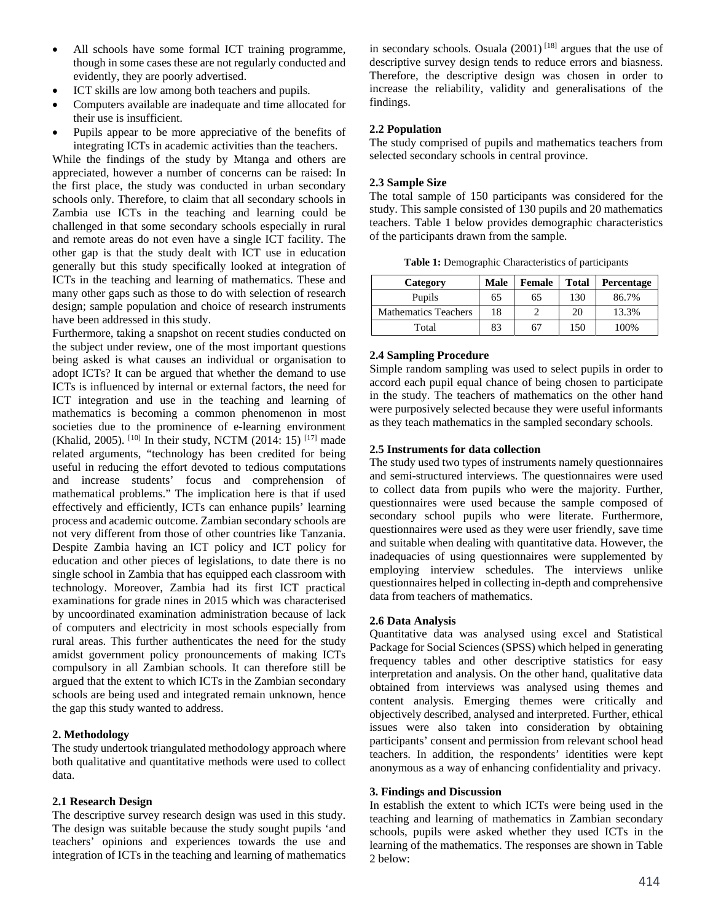- All schools have some formal ICT training programme, though in some cases these are not regularly conducted and evidently, they are poorly advertised.
- ICT skills are low among both teachers and pupils.
- Computers available are inadequate and time allocated for their use is insufficient.
- Pupils appear to be more appreciative of the benefits of integrating ICTs in academic activities than the teachers.

While the findings of the study by Mtanga and others are appreciated, however a number of concerns can be raised: In the first place, the study was conducted in urban secondary schools only. Therefore, to claim that all secondary schools in Zambia use ICTs in the teaching and learning could be challenged in that some secondary schools especially in rural and remote areas do not even have a single ICT facility. The other gap is that the study dealt with ICT use in education generally but this study specifically looked at integration of ICTs in the teaching and learning of mathematics. These and many other gaps such as those to do with selection of research design; sample population and choice of research instruments have been addressed in this study.

Furthermore, taking a snapshot on recent studies conducted on the subject under review, one of the most important questions being asked is what causes an individual or organisation to adopt ICTs? It can be argued that whether the demand to use ICTs is influenced by internal or external factors, the need for ICT integration and use in the teaching and learning of mathematics is becoming a common phenomenon in most societies due to the prominence of e-learning environment (Khalid, 2005). <sup>[10]</sup> In their study, NCTM (2014: 15)<sup>[17]</sup> made related arguments, "technology has been credited for being useful in reducing the effort devoted to tedious computations and increase students' focus and comprehension of mathematical problems." The implication here is that if used effectively and efficiently, ICTs can enhance pupils' learning process and academic outcome. Zambian secondary schools are not very different from those of other countries like Tanzania. Despite Zambia having an ICT policy and ICT policy for education and other pieces of legislations, to date there is no single school in Zambia that has equipped each classroom with technology. Moreover, Zambia had its first ICT practical examinations for grade nines in 2015 which was characterised by uncoordinated examination administration because of lack of computers and electricity in most schools especially from rural areas. This further authenticates the need for the study amidst government policy pronouncements of making ICTs compulsory in all Zambian schools. It can therefore still be argued that the extent to which ICTs in the Zambian secondary schools are being used and integrated remain unknown, hence the gap this study wanted to address.

# **2. Methodology**

The study undertook triangulated methodology approach where both qualitative and quantitative methods were used to collect data.

# **2.1 Research Design**

The descriptive survey research design was used in this study. The design was suitable because the study sought pupils 'and teachers' opinions and experiences towards the use and integration of ICTs in the teaching and learning of mathematics

in secondary schools. Osuala  $(2001)$ <sup>[18]</sup> argues that the use of descriptive survey design tends to reduce errors and biasness. Therefore, the descriptive design was chosen in order to increase the reliability, validity and generalisations of the findings.

### **2.2 Population**

The study comprised of pupils and mathematics teachers from selected secondary schools in central province.

### **2.3 Sample Size**

The total sample of 150 participants was considered for the study. This sample consisted of 130 pupils and 20 mathematics teachers. Table 1 below provides demographic characteristics of the participants drawn from the sample.

**Table 1:** Demographic Characteristics of participants

| Category                    | Male | <b>Female</b> | <b>Total</b> | Percentage |
|-----------------------------|------|---------------|--------------|------------|
| Pupils                      | 65   | 65            | 130          | 86.7%      |
| <b>Mathematics Teachers</b> | 18   |               | 20           | 13.3%      |
| Total                       | 83   | 67            | 150          | 100%       |

# **2.4 Sampling Procedure**

Simple random sampling was used to select pupils in order to accord each pupil equal chance of being chosen to participate in the study. The teachers of mathematics on the other hand were purposively selected because they were useful informants as they teach mathematics in the sampled secondary schools.

# **2.5 Instruments for data collection**

The study used two types of instruments namely questionnaires and semi-structured interviews. The questionnaires were used to collect data from pupils who were the majority. Further, questionnaires were used because the sample composed of secondary school pupils who were literate. Furthermore, questionnaires were used as they were user friendly, save time and suitable when dealing with quantitative data. However, the inadequacies of using questionnaires were supplemented by employing interview schedules. The interviews unlike questionnaires helped in collecting in-depth and comprehensive data from teachers of mathematics.

# **2.6 Data Analysis**

Quantitative data was analysed using excel and Statistical Package for Social Sciences (SPSS) which helped in generating frequency tables and other descriptive statistics for easy interpretation and analysis. On the other hand, qualitative data obtained from interviews was analysed using themes and content analysis. Emerging themes were critically and objectively described, analysed and interpreted. Further, ethical issues were also taken into consideration by obtaining participants' consent and permission from relevant school head teachers. In addition, the respondents' identities were kept anonymous as a way of enhancing confidentiality and privacy.

#### **3. Findings and Discussion**

In establish the extent to which ICTs were being used in the teaching and learning of mathematics in Zambian secondary schools, pupils were asked whether they used ICTs in the learning of the mathematics. The responses are shown in Table 2 below: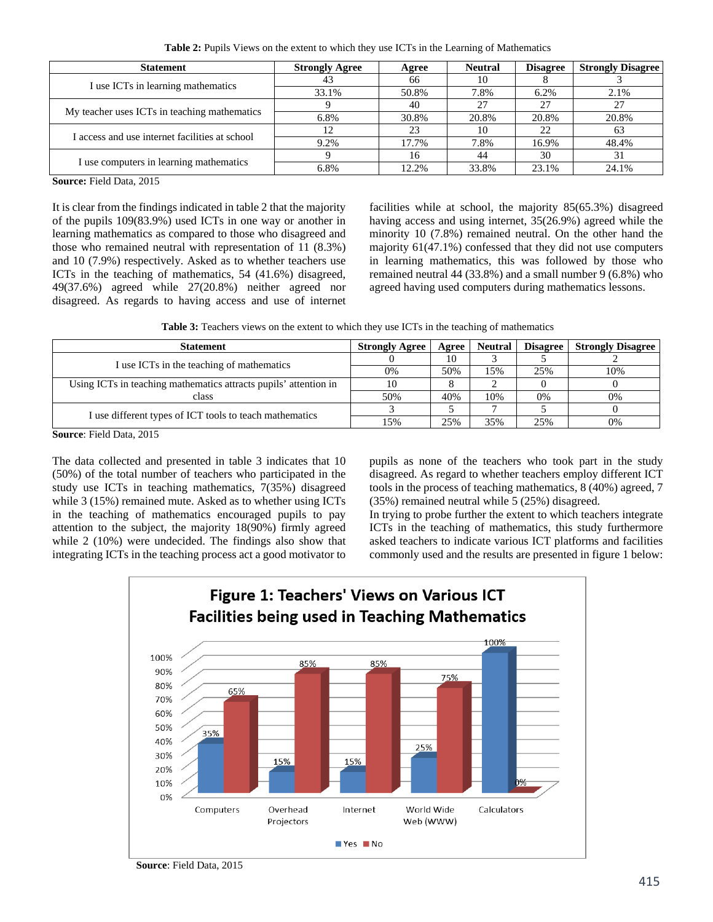**Table 2:** Pupils Views on the extent to which they use ICTs in the Learning of Mathematics

| <b>Statement</b>                               | <b>Strongly Agree</b> | Agree | <b>Neutral</b> | <b>Disagree</b> | <b>Strongly Disagree</b> |
|------------------------------------------------|-----------------------|-------|----------------|-----------------|--------------------------|
| I use ICTs in learning mathematics             | 43                    | 66    | 10             |                 |                          |
|                                                | 33.1%                 | 50.8% | 7.8%           | 6.2%            | 2.1%                     |
| My teacher uses ICTs in teaching mathematics   |                       | 40    | 27             | 27              | 27                       |
|                                                | 6.8%                  | 30.8% | 20.8%          | 20.8%           | 20.8%                    |
| I access and use internet facilities at school |                       | 23    | 10             | 22              | 63                       |
|                                                | 9.2%                  | 17.7% | 7.8%           | 16.9%           | 48.4%                    |
| I use computers in learning mathematics        |                       | 16    | 44             | 30              |                          |
|                                                | 6.8%                  | 12.2% | 33.8%          | 23.1%           | 24.1%                    |

**Source:** Field Data, 2015

It is clear from the findings indicated in table 2 that the majority of the pupils 109(83.9%) used ICTs in one way or another in learning mathematics as compared to those who disagreed and those who remained neutral with representation of 11 (8.3%) and 10 (7.9%) respectively. Asked as to whether teachers use ICTs in the teaching of mathematics, 54 (41.6%) disagreed, 49(37.6%) agreed while 27(20.8%) neither agreed nor disagreed. As regards to having access and use of internet

facilities while at school, the majority 85(65.3%) disagreed having access and using internet, 35(26.9%) agreed while the minority 10 (7.8%) remained neutral. On the other hand the majority 61(47.1%) confessed that they did not use computers in learning mathematics, this was followed by those who remained neutral 44 (33.8%) and a small number 9 (6.8%) who agreed having used computers during mathematics lessons.

Table 3: Teachers views on the extent to which they use ICTs in the teaching of mathematics

| <b>Statement</b>                                                 | <b>Strongly Agree</b> | Agree | <b>Neutral</b> | <b>Disagree</b> | <b>Strongly Disagree</b> |
|------------------------------------------------------------------|-----------------------|-------|----------------|-----------------|--------------------------|
|                                                                  |                       | 10    |                |                 |                          |
| I use ICTs in the teaching of mathematics                        | 0%                    | 50%   | 15%            | 25%             | 10%                      |
| Using ICTs in teaching mathematics attracts pupils' attention in | 10                    |       |                |                 |                          |
| class                                                            | 50%                   | 40%   | 10%            | 0%              | 0%                       |
|                                                                  |                       |       |                |                 |                          |
| I use different types of ICT tools to teach mathematics          | 15%                   | 25%   | 35%            | 25%             | 0%                       |
| $C_1$ $D'_1$ $11D_2$ $01F$                                       |                       |       |                |                 |                          |

**Source**: Field Data, 2015

The data collected and presented in table 3 indicates that 10 (50%) of the total number of teachers who participated in the study use ICTs in teaching mathematics, 7(35%) disagreed while 3 (15%) remained mute. Asked as to whether using ICTs in the teaching of mathematics encouraged pupils to pay attention to the subject, the majority 18(90%) firmly agreed while 2 (10%) were undecided. The findings also show that integrating ICTs in the teaching process act a good motivator to

pupils as none of the teachers who took part in the study disagreed. As regard to whether teachers employ different ICT tools in the process of teaching mathematics, 8 (40%) agreed, 7 (35%) remained neutral while 5 (25%) disagreed.

In trying to probe further the extent to which teachers integrate ICTs in the teaching of mathematics, this study furthermore asked teachers to indicate various ICT platforms and facilities commonly used and the results are presented in figure 1 below:



**Source**: Field Data, 2015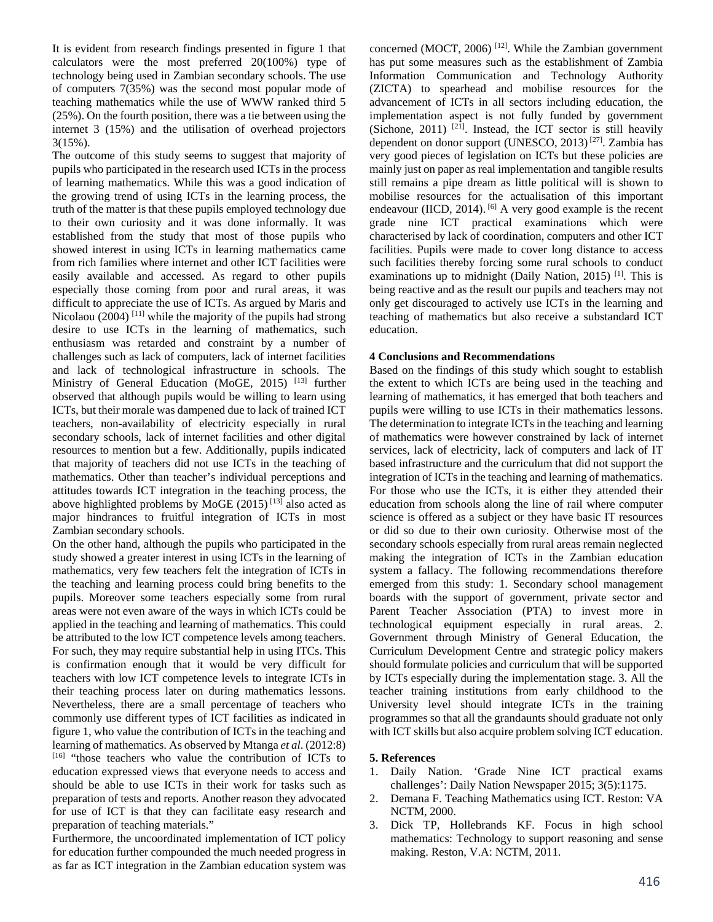It is evident from research findings presented in figure 1 that calculators were the most preferred 20(100%) type of technology being used in Zambian secondary schools. The use of computers 7(35%) was the second most popular mode of teaching mathematics while the use of WWW ranked third 5 (25%). On the fourth position, there was a tie between using the internet 3 (15%) and the utilisation of overhead projectors 3(15%).

The outcome of this study seems to suggest that majority of pupils who participated in the research used ICTs in the process of learning mathematics. While this was a good indication of the growing trend of using ICTs in the learning process, the truth of the matter is that these pupils employed technology due to their own curiosity and it was done informally. It was established from the study that most of those pupils who showed interest in using ICTs in learning mathematics came from rich families where internet and other ICT facilities were easily available and accessed. As regard to other pupils especially those coming from poor and rural areas, it was difficult to appreciate the use of ICTs. As argued by Maris and Nicolaou (2004)<sup>[11]</sup> while the majority of the pupils had strong desire to use ICTs in the learning of mathematics, such enthusiasm was retarded and constraint by a number of challenges such as lack of computers, lack of internet facilities and lack of technological infrastructure in schools. The Ministry of General Education (MoGE, 2015)<sup>[13]</sup> further observed that although pupils would be willing to learn using ICTs, but their morale was dampened due to lack of trained ICT teachers, non-availability of electricity especially in rural secondary schools, lack of internet facilities and other digital resources to mention but a few. Additionally, pupils indicated that majority of teachers did not use ICTs in the teaching of mathematics. Other than teacher's individual perceptions and attitudes towards ICT integration in the teaching process, the above highlighted problems by MoGE  $(2015)^{13}$  also acted as major hindrances to fruitful integration of ICTs in most Zambian secondary schools.

On the other hand, although the pupils who participated in the study showed a greater interest in using ICTs in the learning of mathematics, very few teachers felt the integration of ICTs in the teaching and learning process could bring benefits to the pupils. Moreover some teachers especially some from rural areas were not even aware of the ways in which ICTs could be applied in the teaching and learning of mathematics. This could be attributed to the low ICT competence levels among teachers. For such, they may require substantial help in using ITCs. This is confirmation enough that it would be very difficult for teachers with low ICT competence levels to integrate ICTs in their teaching process later on during mathematics lessons. Nevertheless, there are a small percentage of teachers who commonly use different types of ICT facilities as indicated in figure 1, who value the contribution of ICTs in the teaching and learning of mathematics. As observed by Mtanga *et al*. (2012:8) [16] "those teachers who value the contribution of ICTs to education expressed views that everyone needs to access and should be able to use ICTs in their work for tasks such as preparation of tests and reports. Another reason they advocated for use of ICT is that they can facilitate easy research and preparation of teaching materials."

Furthermore, the uncoordinated implementation of ICT policy for education further compounded the much needed progress in as far as ICT integration in the Zambian education system was

concerned (MOCT, 2006)  $^{[12]}$ . While the Zambian government has put some measures such as the establishment of Zambia Information Communication and Technology Authority (ZICTA) to spearhead and mobilise resources for the advancement of ICTs in all sectors including education, the implementation aspect is not fully funded by government (Sichone, 2011)  $[21]$ . Instead, the ICT sector is still heavily dependent on donor support (UNESCO, 2013) [27]. Zambia has very good pieces of legislation on ICTs but these policies are mainly just on paper as real implementation and tangible results still remains a pipe dream as little political will is shown to mobilise resources for the actualisation of this important endeavour (IICD, 2014).  $[6]$  A very good example is the recent grade nine ICT practical examinations which were characterised by lack of coordination, computers and other ICT facilities. Pupils were made to cover long distance to access such facilities thereby forcing some rural schools to conduct examinations up to midnight (Daily Nation, 2015)<sup>[1]</sup>. This is being reactive and as the result our pupils and teachers may not only get discouraged to actively use ICTs in the learning and teaching of mathematics but also receive a substandard ICT education.

### **4 Conclusions and Recommendations**

Based on the findings of this study which sought to establish the extent to which ICTs are being used in the teaching and learning of mathematics, it has emerged that both teachers and pupils were willing to use ICTs in their mathematics lessons. The determination to integrate ICTs in the teaching and learning of mathematics were however constrained by lack of internet services, lack of electricity, lack of computers and lack of IT based infrastructure and the curriculum that did not support the integration of ICTs in the teaching and learning of mathematics. For those who use the ICTs, it is either they attended their education from schools along the line of rail where computer science is offered as a subject or they have basic IT resources or did so due to their own curiosity. Otherwise most of the secondary schools especially from rural areas remain neglected making the integration of ICTs in the Zambian education system a fallacy. The following recommendations therefore emerged from this study: 1. Secondary school management boards with the support of government, private sector and Parent Teacher Association (PTA) to invest more in technological equipment especially in rural areas. 2. Government through Ministry of General Education, the Curriculum Development Centre and strategic policy makers should formulate policies and curriculum that will be supported by ICTs especially during the implementation stage. 3. All the teacher training institutions from early childhood to the University level should integrate ICTs in the training programmes so that all the grandaunts should graduate not only with ICT skills but also acquire problem solving ICT education.

#### **5. References**

- 1. Daily Nation. 'Grade Nine ICT practical exams challenges': Daily Nation Newspaper 2015; 3(5):1175.
- 2. Demana F. Teaching Mathematics using ICT. Reston: VA NCTM, 2000.
- 3. Dick TP, Hollebrands KF. Focus in high school mathematics: Technology to support reasoning and sense making. Reston, V.A: NCTM, 2011.